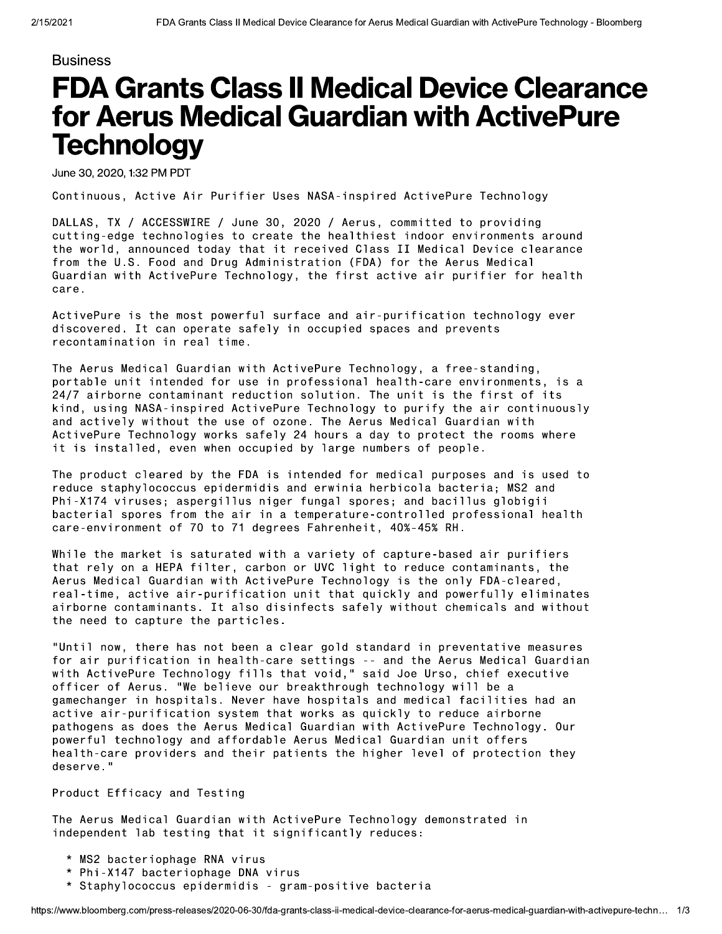## **Business**

## FDA Grants Class II Medical Device Clearance<br>for Aerus Medical Guardian with ActivePure<br>Technology

June 30, 2020, 1:32 PM PDT

Continuous, Active Air Purifier Uses NASA-inspired ActivePure Technology

DALLAS, TX / ACCESSWIRE / June 30, 2020 / Aerus, committed to providing cutting-edge technologies to create the healthiest indoor environments around the world, announced today that it received Class II Medical Device clearance from the U.S. Food and Drug Administration (FDA) for the Aerus Medical Guardian with ActivePure Technology, the first active air purifier for health care.

ActivePure is the most powerful surface and air-purification technology ever discovered. It can operate safely in occupied spaces and prevents  $recontamination$  in real time.

The Aerus Medical Guardian with ActivePure Technology, a free-standing, portable unit intended for use in professional health-care environments, is a  $24/7$  airborne contaminant reduction solution. The unit is the first of its kind, using NASA-inspired ActivePure Technology to purify the air continuously and actively without the use of ozone. The Aerus Medical Guardian with ActivePure Technology works safely 24 hours a day to protect the rooms where it is installed, even when occupied by large numbers of people.

The product cleared by the FDA is intended for medical purposes and is used to reduce staphylococcus epidermidis and erwinia herbicola bacteria; MS2 and Phi-X174 viruses; aspergillus niger fungal spores; and bacillus globigii bacterial spores from the air in a temperature-controlled professional health care-environment of 70 to 71 degrees Fahrenheit, 40%-45% RH.

While the market is saturated with a variety of capture-based air purifiers that rely on a HEPA filter, carbon or UVC light to reduce contaminants, the Aerus Medical Guardian with ActivePure Technology is the only FDA-cleared, real-time, active air-purification unit that quickly and powerfully eliminates airborne contaminants. It also disinfects safely without chemicals and without the need to capture the particles.

"Until now, there has not been a clear gold standard in preventative measures for air purification in health-care settings -- and the Aerus Medical Guardian with ActivePure Technology fills that void," said Joe Urso, chief executive officer of Aerus. "We believe our breakthrough technology will be a gamechanger in hospitals. Never have hospitals and medical facilities had an active air-purification system that works as quickly to reduce airborne pathogens as does the Aerus Medical Guardian with ActivePure Technology. Our powerful technology and affordable Aerus Medical Guardian unit offers health-care providers and their patients the higher level of protection they deserve."

Product Efficacy and Testing

independent la<br>
\* MS2 bacter<br>
\* Phi-X147 b<br>
\* Staphyloco<br>
https://www.bloomberg.com The Aerus Medical Guardian with ActivePure Technology demonstrated in  $i$ ndependent lab testing that it significantly reduces:

- $*$  MS2 bacteriophage RNA virus
- $*$  Phi-X147 bacteriophage DNA virus
- \* Staphylococcus epidermidis gram-positive bacteria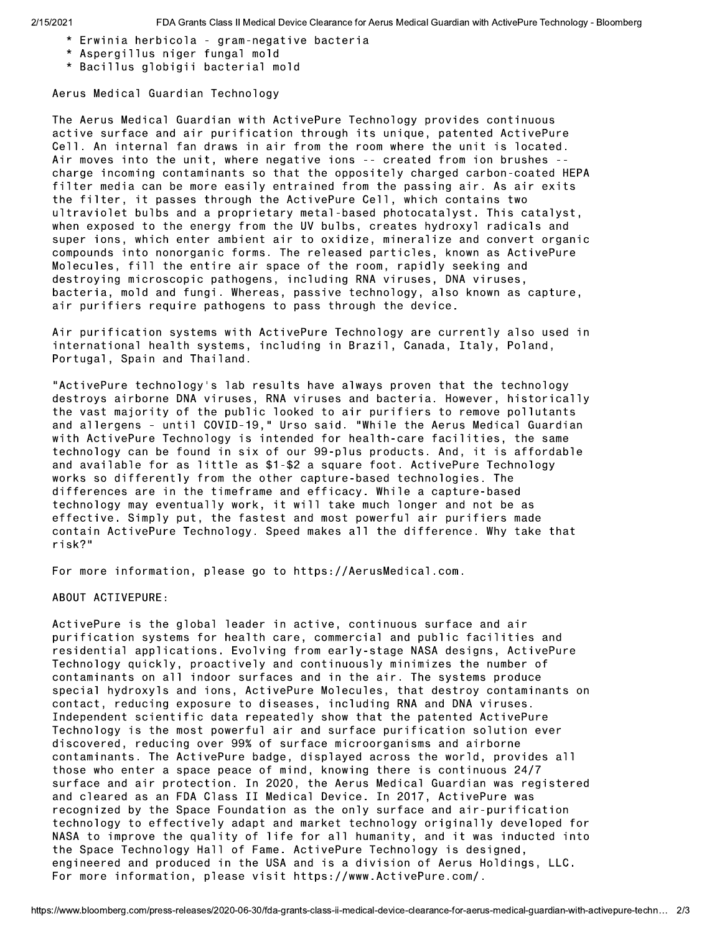- \* Erwinia herbicola gram-negative bacteria
- \* Aspergillus niger fungal mold
- \* Bacillus globigii bacterial mold

## Aerus Medical Guardian Technology

The Aerus Medical Guardian with ActivePure Technology provides continuous active surface and air purification through its unique, patented ActivePure Cell. An internal fan draws in air from the room where the unit is located. Air moves into the unit, where negative ions -- created from ion brushes -charge incoming contaminants so that the oppositely charged carbon-coated HEPA filter media can be more easily entrained from the passing air. As air exits the filter, it passes through the ActivePure Cell, which contains two ultraviolet bulbs and a proprietary metal-based photocatalyst. This catalyst, when exposed to the energy from the UV bulbs, creates hydroxyl radicals and super ions, which enter ambient air to oxidize, mineralize and convert organic compounds into nonorganic forms. The released particles, known as ActivePure Molecules, fill the entire air space of the room, rapidly seeking and destroying microscopic pathogens, including RNA viruses, DNA viruses, bacteria, mold and fungi. Whereas, passive technology, also known as capture, air purifiers require pathogens to pass through the device.

Air purification systems with ActivePure Technology are currently also used in international health systems, including in Brazil, Canada, Italy, Poland, Portugal, Spain and Thailand.

"ActivePure technology's lab results have always proven that the technology destroys airborne DNA viruses, RNA viruses and bacteria. However, historically the vast majority of the public looked to air purifiers to remove pollutants and allergens - until COVID-19," Urso said. "While the Aerus Medical Guardian with ActivePure Technology is intended for health-care facilities, the same technology can be found in six of our 99-plus products. And, it is affordable and available for as little as \$1-\$2 a square foot. ActivePure Technology works so differently from the other capture-based technologies. The differences are in the timeframe and efficacy. While a capture-based technology may eventually work, it will take much longer and not be as effective. Simply put, the fastest and most powerful air purifiers made contain ActivePure Technology. Speed makes all the difference. Why take that risk?"

For more information, please go to https://AerusMedical.com.

ABOUT ACTIVEPURE:

ActivePure is the global leader in active, continuous surface and air purification systems for health care, commercial and public facilities and residential applications. Evolving from early-stage NASA designs, ActivePure Technology quickly, proactively and continuously minimizes the number of contaminants on all indoor surfaces and in the air. The systems produce special hydroxyls and ions, ActivePure Molecules, that destroy contaminants on contact, reducing exposure to diseases, including RNA and DNA viruses. Independent scientific data repeatedly show that the patented ActivePure Technology is the most powerful air and surface purification solution ever discovered, reducing over 99% of surface microorganisms and airborne contaminants. The ActivePure badge, displayed across the world, provides all those who enter a space peace of mind, knowing there is continuous 24/7 surface and air protection. In 2020, the Aerus Medical Guardian was registered and cleared as an FDA Class II Medical Device. In 2017, ActivePure was recognized by the Space Foundation as the only surface and air-purification technology to effectively adapt and market technology originally developed for NASA to improve the quality of life for all humanity, and it was inducted into the Space Technology Hall of Fame. ActivePure Technology is designed, engineered and produced in the USA and is a division of Aerus Holdings, LLC. For more information, please visit https://www.ActivePure.com/.